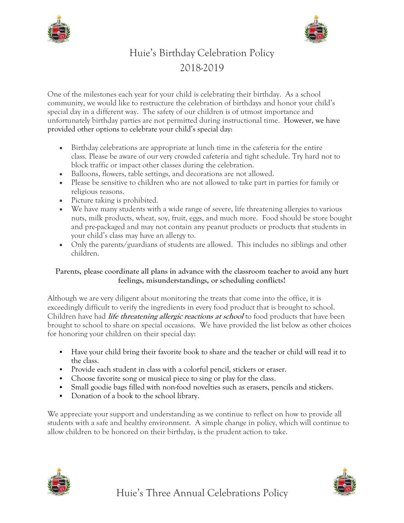



# Huie's Birthday Celebration Policy 2018-2019

One of the milestones each year for your child is celebrating their birthday. As a school community, we would like to restructure the celebration of birthdays and honor your child's special day in a different way. The safety of our children is of utmost importance and unfortunately birthday parties are not permitted during instructional time. However, we have provided other options to celebrate your child's special day:

- Birthday celebrations are appropriate at lunch time in the cafeteria for the entire class. Please be aware of our very crowded cafeteria and tight schedule. Try hard not to block traffic or impact other classes during the celebration.
- Balloons, flowers, table settings, and decorations are not allowed.
- Please be sensitive to children who are not allowed to take part in parties for family or religious reasons.
- Picture taking is prohibited.
- We have many students with a wide range of severe, life threatening allergies to various nuts, milk products, wheat, soy, fruit, eggs, and much more. Food should be store bought and pre-packaged and may not contain any peanut products or products that students in your child's class may have an allergy to.
- Only the parents/guardians of students are allowed. This includes no siblings and other children.

#### **Parents, please coordinate all plans in advance with the classroom teacher to avoid any hurt feelings, misunderstandings, or scheduling conflicts!**

Although we are very diligent about monitoring the treats that come into the office, it is exceedingly difficult to verify the ingredients in every food product that is brought to school. Children have had **life threatening allergic reactions at school** to food products that have been brought to school to share on special occasions. We have provided the list below as other choices for honoring your children on their special day:

- Have your child bring their favorite book to share and the teacher or child will read it to the class.
- Provide each student in class with a colorful pencil, stickers or eraser.
- Choose favorite song or musical piece to sing or play for the class.
- Small goodie bags filled with non-food novelties such as erasers, pencils and stickers.
- Donation of a book to the school library.

We appreciate your support and understanding as we continue to reflect on how to provide all students with a safe and healthy environment. A simple change in policy, which will continue to allow children to be honored on their birthday, is the prudent action to take.



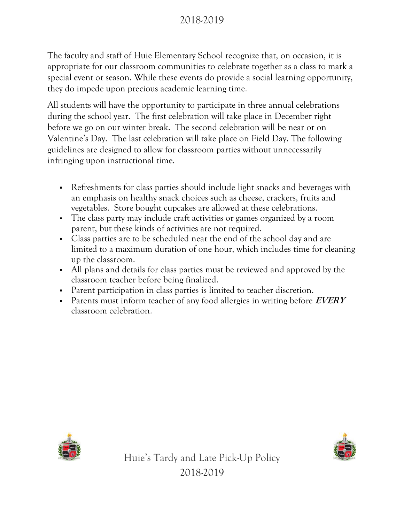# 2018-2019

The faculty and staff of Huie Elementary School recognize that, on occasion, it is appropriate for our classroom communities to celebrate together as a class to mark a special event or season. While these events do provide a social learning opportunity, they do impede upon precious academic learning time.

All students will have the opportunity to participate in three annual celebrations during the school year. The first celebration will take place in December right before we go on our winter break. The second celebration will be near or on Valentine's Day. The last celebration will take place on Field Day. The following guidelines are designed to allow for classroom parties without unnecessarily infringing upon instructional time.

- Refreshments for class parties should include light snacks and beverages with an emphasis on healthy snack choices such as cheese, crackers, fruits and vegetables. Store bought cupcakes are allowed at these celebrations.
- The class party may include craft activities or games organized by a room parent, but these kinds of activities are not required.
- Class parties are to be scheduled near the end of the school day and are limited to a maximum duration of one hour, which includes time for cleaning up the classroom.
- All plans and details for class parties must be reviewed and approved by the classroom teacher before being finalized.
- Parent participation in class parties is limited to teacher discretion.
- Parents must inform teacher of any food allergies in writing before **EVERY**  classroom celebration.



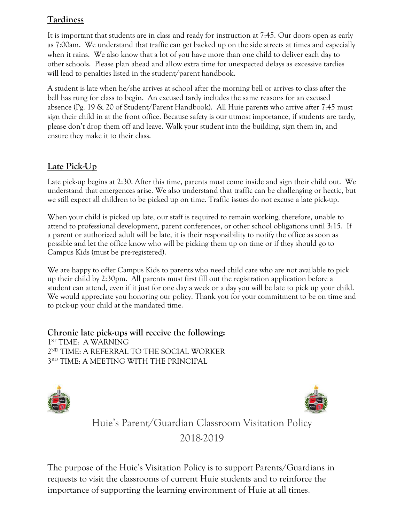## **Tardiness**

It is important that students are in class and ready for instruction at 7:45. Our doors open as early as 7:00am. We understand that traffic can get backed up on the side streets at times and especially when it rains. We also know that a lot of you have more than one child to deliver each day to other schools. Please plan ahead and allow extra time for unexpected delays as excessive tardies will lead to penalties listed in the student/parent handbook.

A student is late when he/she arrives at school after the morning bell or arrives to class after the bell has rung for class to begin. An excused tardy includes the same reasons for an excused absence (Pg. 19 & 20 of Student/Parent Handbook). All Huie parents who arrive after 7:45 must sign their child in at the front office. Because safety is our utmost importance, if students are tardy, please don't drop them off and leave. Walk your student into the building, sign them in, and ensure they make it to their class.

### **Late Pick-Up**

Late pick-up begins at 2:30. After this time, parents must come inside and sign their child out. We understand that emergences arise. We also understand that traffic can be challenging or hectic, but we still expect all children to be picked up on time. Traffic issues do not excuse a late pick-up.

When your child is picked up late, our staff is required to remain working, therefore, unable to attend to professional development, parent conferences, or other school obligations until 3:15. If a parent or authorized adult will be late, it is their responsibility to notify the office as soon as possible and let the office know who will be picking them up on time or if they should go to Campus Kids (must be pre-registered).

We are happy to offer Campus Kids to parents who need child care who are not available to pick up their child by 2:30pm. All parents must first fill out the registration application before a student can attend, even if it just for one day a week or a day you will be late to pick up your child. We would appreciate you honoring our policy. Thank you for your commitment to be on time and to pick-up your child at the mandated time.

**Chronic late pick-ups will receive the following:** ST TIME: A WARNING ND TIME: A REFERRAL TO THE SOCIAL WORKER RD TIME: A MEETING WITH THE PRINCIPAL





Huie's Parent/Guardian Classroom Visitation Policy 2018-2019

The purpose of the Huie's Visitation Policy is to support Parents/Guardians in requests to visit the classrooms of current Huie students and to reinforce the importance of supporting the learning environment of Huie at all times.